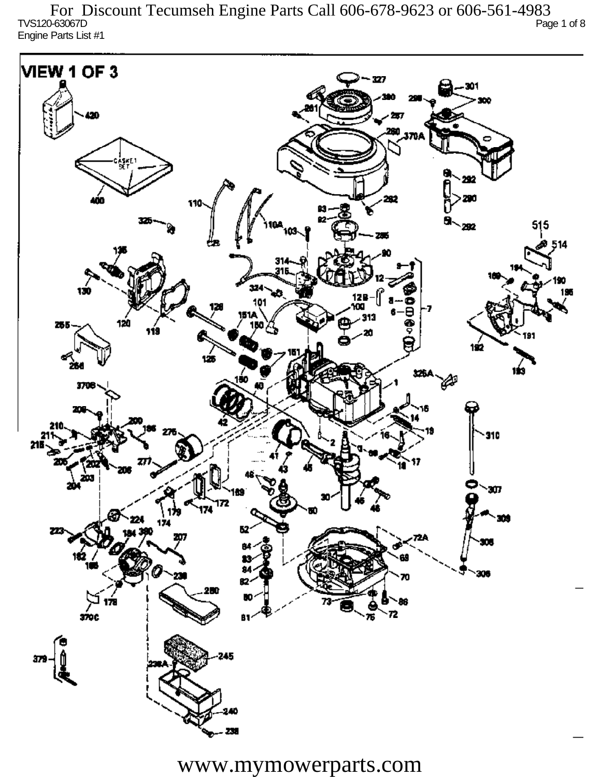TVS120-63067D Page 1 of 8 Engine Parts List #1 For Discount Tecumseh Engine Parts Call 606-678-9623 or 606-561-4983

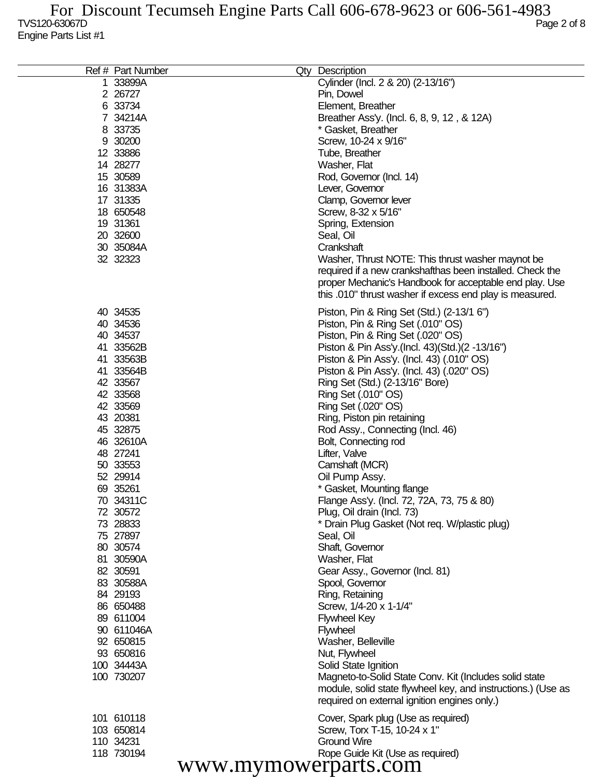| Ref # Part Number    | Qty Description                                              |
|----------------------|--------------------------------------------------------------|
| 1 33899A             | Cylinder (Incl. 2 & 20) (2-13/16")                           |
| 2 26727              | Pin, Dowel                                                   |
| 6 33734              | Element, Breather                                            |
| 7 34214A             | Breather Ass'y. (Incl. 6, 8, 9, 12, & 12A)                   |
| 8 33735              | * Gasket, Breather                                           |
| 9 30200              | Screw, 10-24 x 9/16"                                         |
| 12 33886             | Tube, Breather                                               |
| 14 28277             |                                                              |
|                      | Washer, Flat                                                 |
| 15 30589             | Rod, Governor (Incl. 14)                                     |
| 16 31383A            | Lever, Governor                                              |
| 17 31335             | Clamp, Governor lever                                        |
| 18 650548            | Screw, 8-32 x 5/16"                                          |
| 19 31361             | Spring, Extension                                            |
| 20 32600             | Seal, Oil                                                    |
| 30 35084A            | Crankshaft                                                   |
| 32 32323             | Washer, Thrust NOTE: This thrust washer maynot be            |
|                      | required if a new crankshafthas been installed. Check the    |
|                      | proper Mechanic's Handbook for acceptable end play. Use      |
|                      | this .010" thrust washer if excess end play is measured.     |
| 40 34535             | Piston, Pin & Ring Set (Std.) (2-13/1 6")                    |
| 40 34536             | Piston, Pin & Ring Set (.010" OS)                            |
| 40 34537             | Piston, Pin & Ring Set (.020" OS)                            |
| 41 33562B            | Piston & Pin Ass'y (Incl. 43) (Std.) (2 -13/16")             |
| 41 33563B            | Piston & Pin Ass'y. (Incl. 43) (.010" OS)                    |
| 41 33564B            | Piston & Pin Ass'y. (Incl. 43) (.020" OS)                    |
| 42 33567             | Ring Set (Std.) (2-13/16" Bore)                              |
| 42 33568             | Ring Set (.010" OS)                                          |
| 42 33569             | Ring Set (.020" OS)                                          |
| 43 20381             | Ring, Piston pin retaining                                   |
| 45 32875             | Rod Assy., Connecting (Incl. 46)                             |
| 46 32610A            |                                                              |
| 48 27241             | Bolt, Connecting rod<br>Lifter, Valve                        |
|                      | Camshaft (MCR)                                               |
| 50 33553             |                                                              |
| 52 29914             | Oil Pump Assy.                                               |
| 69 35261             | * Gasket, Mounting flange                                    |
| 70 34311C            | Flange Ass'y. (Incl. 72, 72A, 73, 75 & 80)                   |
| 72 30572             | Plug, Oil drain (Incl. 73)                                   |
| 73 28833             | * Drain Plug Gasket (Not req. W/plastic plug)                |
| 75 27897             | Seal, Oil                                                    |
| 80 30574             | Shaft, Governor                                              |
| 81 30590A            | Washer, Flat                                                 |
| 82 30591             | Gear Assy., Governor (Incl. 81)                              |
| 83 30588A            | Spool, Governor                                              |
| 84 29193             | Ring, Retaining                                              |
| 86 650488            | Screw, 1/4-20 x 1-1/4"                                       |
| 89 611004            | <b>Flywheel Key</b>                                          |
| 90 611046A           | <b>Flywheel</b>                                              |
| 92 650815            | Washer, Belleville                                           |
| 93 650816            | Nut, Flywheel                                                |
| 100 34443A           | Solid State Ignition                                         |
| 100 730207           | Magneto-to-Solid State Conv. Kit (Includes solid state       |
|                      | module, solid state flywheel key, and instructions.) (Use as |
|                      | required on external ignition engines only.)                 |
| 101 610118           | Cover, Spark plug (Use as required)                          |
| 103 650814           | Screw, Torx T-15, 10-24 x 1"                                 |
| 110 34231            | <b>Ground Wire</b>                                           |
| 118 730194           | Rope Guide Kit (Use as required)                             |
| www.mymowerparts.com |                                                              |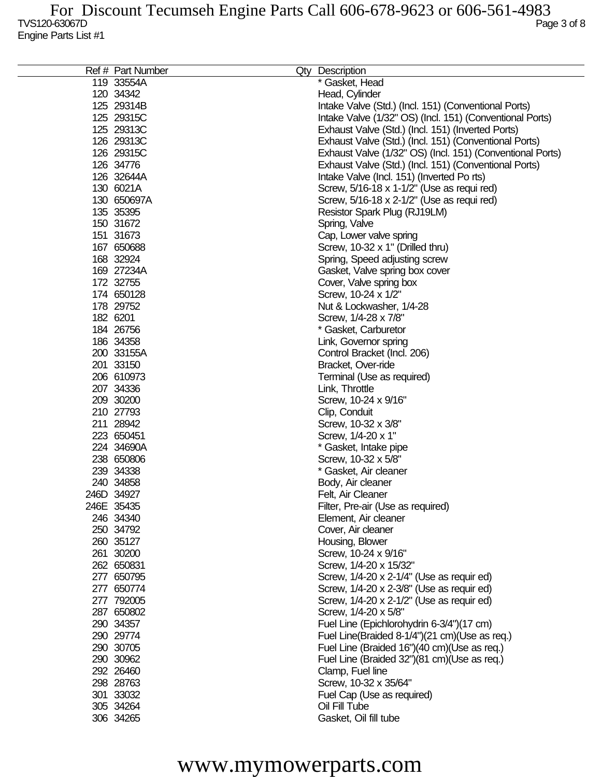| Ref # Part Number | Qty Description                                           |
|-------------------|-----------------------------------------------------------|
| 119 33554A        | * Gasket, Head                                            |
| 120 34342         | Head, Cylinder                                            |
| 125 29314B        | Intake Valve (Std.) (Incl. 151) (Conventional Ports)      |
| 125 29315C        | Intake Valve (1/32" OS) (Incl. 151) (Conventional Ports)  |
| 125 29313C        | Exhaust Valve (Std.) (Incl. 151) (Inverted Ports)         |
| 126 29313C        | Exhaust Valve (Std.) (Incl. 151) (Conventional Ports)     |
| 126 29315C        | Exhaust Valve (1/32" OS) (Incl. 151) (Conventional Ports) |
| 126 34776         | Exhaust Valve (Std.) (Incl. 151) (Conventional Ports)     |
|                   |                                                           |
| 126 32644A        | Intake Valve (Incl. 151) (Inverted Po rts)                |
| 130 6021A         | Screw, 5/16-18 x 1-1/2" (Use as requi red)                |
| 130 650697A       | Screw, 5/16-18 x 2-1/2" (Use as requi red)                |
| 135 35395         | Resistor Spark Plug (RJ19LM)                              |
| 150 31672         | Spring, Valve                                             |
| 151 31673         | Cap, Lower valve spring                                   |
| 167 650688        | Screw, 10-32 x 1" (Drilled thru)                          |
| 168 32924         | Spring, Speed adjusting screw                             |
| 169 27234A        | Gasket, Valve spring box cover                            |
| 172 32755         | Cover, Valve spring box                                   |
| 174 650128        | Screw, 10-24 x 1/2"                                       |
| 178 29752         | Nut & Lockwasher, 1/4-28                                  |
| 182 6201          | Screw, 1/4-28 x 7/8"                                      |
| 184 26756         | * Gasket, Carburetor                                      |
|                   |                                                           |
| 186 34358         | Link, Governor spring                                     |
| 200 33155A        | Control Bracket (Incl. 206)                               |
| 201 33150         | Bracket, Over-ride                                        |
| 206 610973        | Terminal (Use as required)                                |
| 207 34336         | Link, Throttle                                            |
| 209 30200         | Screw, 10-24 x 9/16"                                      |
| 210 27793         | Clip, Conduit                                             |
| 211 28942         | Screw, 10-32 x 3/8"                                       |
| 223 650451        | Screw, 1/4-20 x 1"                                        |
| 224 34690A        | * Gasket, Intake pipe                                     |
| 238 650806        | Screw, 10-32 x 5/8"                                       |
| 239 34338         | * Gasket, Air cleaner                                     |
| 240 34858         | Body, Air cleaner                                         |
| 246D 34927        | Felt, Air Cleaner                                         |
| 246E 35435        | Filter, Pre-air (Use as required)                         |
| 246 34340         | Element, Air cleaner                                      |
| 250 34792         | Cover, Air cleaner                                        |
| 260 35127         | Housing, Blower                                           |
| 261 30200         | Screw, 10-24 x 9/16"                                      |
| 262 650831        | Screw, 1/4-20 x 15/32"                                    |
| 277 650795        | Screw, 1/4-20 x 2-1/4" (Use as requir ed)                 |
| 277 650774        | Screw, 1/4-20 x 2-3/8" (Use as requir ed)                 |
| 277 792005        | Screw, 1/4-20 x 2-1/2" (Use as requir ed)                 |
|                   |                                                           |
| 287 650802        | Screw, 1/4-20 x 5/8"                                      |
| 290 34357         | Fuel Line (Epichlorohydrin 6-3/4")(17 cm)                 |
| 290 29774         | Fuel Line(Braided 8-1/4")(21 cm)(Use as req.)             |
| 290 30705         | Fuel Line (Braided 16")(40 cm)(Use as req.)               |
| 290 30962         | Fuel Line (Braided 32")(81 cm)(Use as req.)               |
| 292 26460         | Clamp, Fuel line                                          |
| 298 28763         | Screw, 10-32 x 35/64"                                     |
| 301 33032         | Fuel Cap (Use as required)                                |
| 305 34264         | Oil Fill Tube                                             |
| 306 34265         | Gasket, Oil fill tube                                     |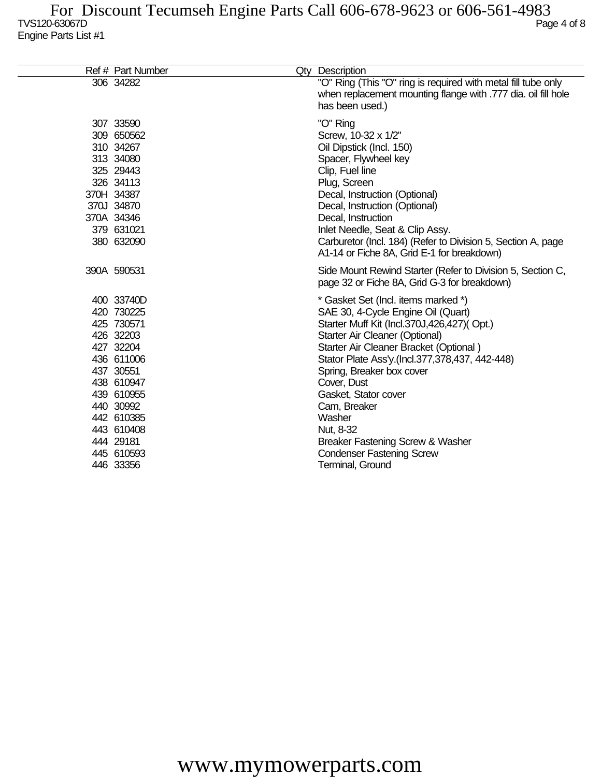| Ref # Part Number                                                                                                                                                                                        | Qty Description                                                                                                                                                                                                                                                                                                                                                                                                                                              |
|----------------------------------------------------------------------------------------------------------------------------------------------------------------------------------------------------------|--------------------------------------------------------------------------------------------------------------------------------------------------------------------------------------------------------------------------------------------------------------------------------------------------------------------------------------------------------------------------------------------------------------------------------------------------------------|
| 306 34282                                                                                                                                                                                                | "O" Ring (This "O" ring is required with metal fill tube only<br>when replacement mounting flange with .777 dia. oil fill hole<br>has been used.)                                                                                                                                                                                                                                                                                                            |
| 307 33590<br>309 650562<br>310 34267<br>313 34080<br>325 29443<br>326 34113<br>370H 34387<br>370J 34870<br>370A 34346<br>379 631021<br>380 632090                                                        | "O" Ring<br>Screw, 10-32 x 1/2"<br>Oil Dipstick (Incl. 150)<br>Spacer, Flywheel key<br>Clip, Fuel line<br>Plug, Screen<br>Decal, Instruction (Optional)<br>Decal, Instruction (Optional)<br>Decal, Instruction<br>Inlet Needle, Seat & Clip Assy.<br>Carburetor (Incl. 184) (Refer to Division 5, Section A, page<br>A1-14 or Fiche 8A, Grid E-1 for breakdown)                                                                                              |
| 390A 590531                                                                                                                                                                                              | Side Mount Rewind Starter (Refer to Division 5, Section C,<br>page 32 or Fiche 8A, Grid G-3 for breakdown)                                                                                                                                                                                                                                                                                                                                                   |
| 400 33740D<br>420 730225<br>425 730571<br>426 32203<br>427 32204<br>436 611006<br>437 30551<br>438 610947<br>439 610955<br>440 30992<br>442 610385<br>443 610408<br>444 29181<br>445 610593<br>446 33356 | * Gasket Set (Incl. items marked *)<br>SAE 30, 4-Cycle Engine Oil (Quart)<br>Starter Muff Kit (Incl.370J,426,427)(Opt.)<br>Starter Air Cleaner (Optional)<br>Starter Air Cleaner Bracket (Optional)<br>Stator Plate Ass'y.(Incl.377,378,437, 442-448)<br>Spring, Breaker box cover<br>Cover, Dust<br>Gasket, Stator cover<br>Cam, Breaker<br>Washer<br>Nut, 8-32<br>Breaker Fastening Screw & Washer<br><b>Condenser Fastening Screw</b><br>Terminal, Ground |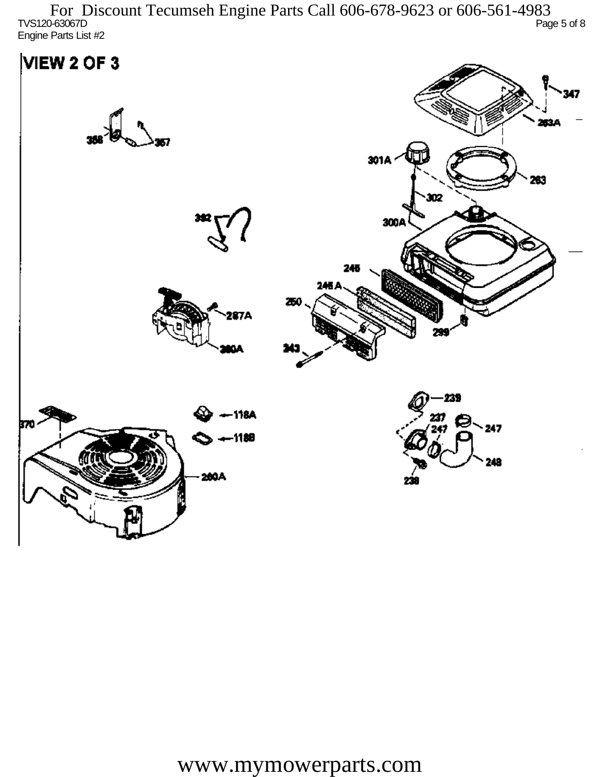TVS120-63067D Page 5 of 8 Engine Parts List #2 For Discount Tecumseh Engine Parts Call 606-678-9623 or 606-561-4983

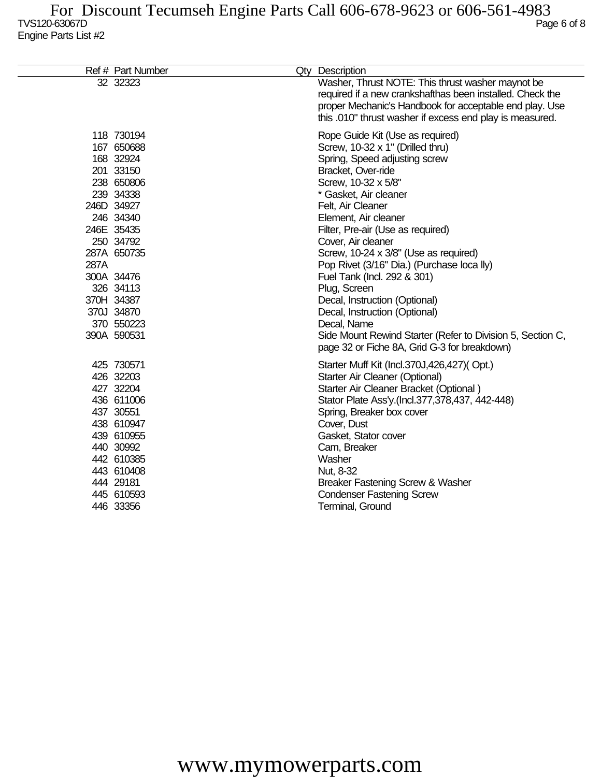|      | Ref # Part Number                                                                                                                                                                                                                      | Qty Description                                                                                                                                                                                                                                                                                                                                                                                                                                                                                                                                                                                                          |
|------|----------------------------------------------------------------------------------------------------------------------------------------------------------------------------------------------------------------------------------------|--------------------------------------------------------------------------------------------------------------------------------------------------------------------------------------------------------------------------------------------------------------------------------------------------------------------------------------------------------------------------------------------------------------------------------------------------------------------------------------------------------------------------------------------------------------------------------------------------------------------------|
|      | 32 32323                                                                                                                                                                                                                               | Washer, Thrust NOTE: This thrust washer maynot be<br>required if a new crankshafthas been installed. Check the<br>proper Mechanic's Handbook for acceptable end play. Use<br>this .010" thrust washer if excess end play is measured.                                                                                                                                                                                                                                                                                                                                                                                    |
| 287A | 118 730194<br>167 650688<br>168 32924<br>201 33150<br>238 650806<br>239 34338<br>246D 34927<br>246 34340<br>246E 35435<br>250 34792<br>287A 650735<br>300A 34476<br>326 34113<br>370H 34387<br>370J 34870<br>370 550223<br>390A 590531 | Rope Guide Kit (Use as required)<br>Screw, 10-32 x 1" (Drilled thru)<br>Spring, Speed adjusting screw<br>Bracket, Over-ride<br>Screw, 10-32 x 5/8"<br>* Gasket, Air cleaner<br>Felt, Air Cleaner<br>Element, Air cleaner<br>Filter, Pre-air (Use as required)<br>Cover, Air cleaner<br>Screw, 10-24 x 3/8" (Use as required)<br>Pop Rivet (3/16" Dia.) (Purchase loca lly)<br>Fuel Tank (Incl. 292 & 301)<br>Plug, Screen<br>Decal, Instruction (Optional)<br>Decal, Instruction (Optional)<br>Decal, Name<br>Side Mount Rewind Starter (Refer to Division 5, Section C,<br>page 32 or Fiche 8A, Grid G-3 for breakdown) |
|      | 425 730571<br>426 32203<br>427 32204<br>436 611006<br>437 30551<br>438 610947<br>439 610955<br>440 30992<br>442 610385<br>443 610408<br>444 29181<br>445 610593<br>446 33356                                                           | Starter Muff Kit (Incl.370J,426,427)(Opt.)<br>Starter Air Cleaner (Optional)<br>Starter Air Cleaner Bracket (Optional)<br>Stator Plate Ass'y.(Incl.377,378,437, 442-448)<br>Spring, Breaker box cover<br>Cover, Dust<br>Gasket, Stator cover<br>Cam, Breaker<br>Washer<br>Nut, 8-32<br>Breaker Fastening Screw & Washer<br><b>Condenser Fastening Screw</b><br>Terminal, Ground                                                                                                                                                                                                                                          |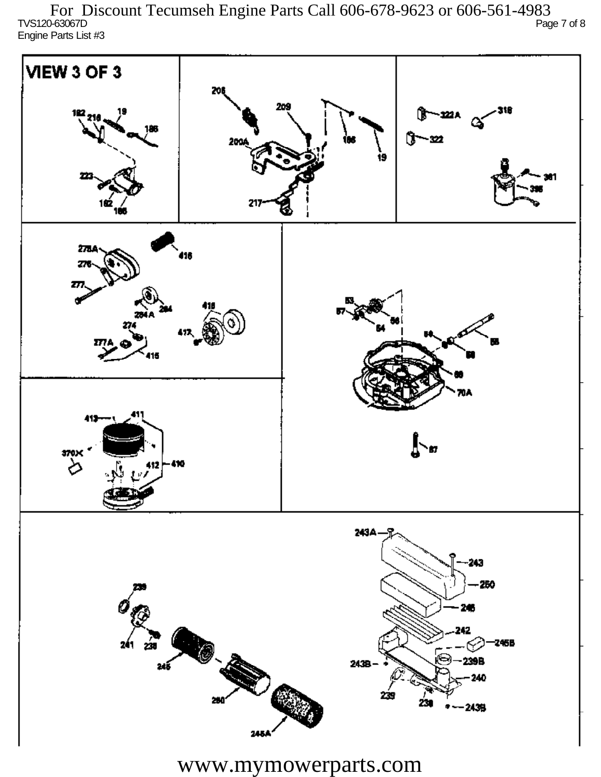TVS120-63067D Page 7 of 8 Engine Parts List #3 For Discount Tecumseh Engine Parts Call 606-678-9623 or 606-561-4983